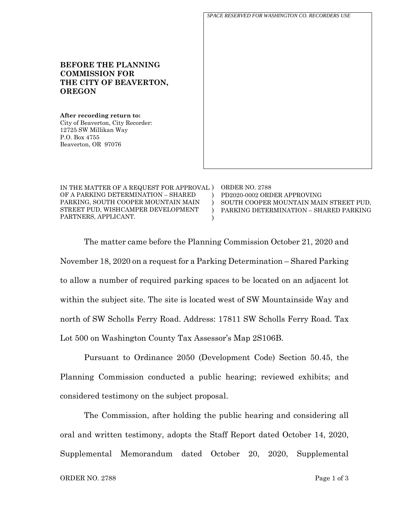*SPACE RESERVED FOR WASHINGTON CO. RECORDERS USE*

# **COMMISSION FOR THE CITY OF BEAVERTON, OREGON**

**BEFORE THE PLANNING** 

**After recording return to:** City of Beaverton, City Recorder: 12725 SW Millikan Way P.O. Box 4755 Beaverton, OR 97076

IN THE MATTER OF A REQUEST FOR APPROVAL ) OF A PARKING DETERMINATION – SHARED PARKING, SOUTH COOPER MOUNTAIN MAIN STREET PUD, WISHCAMPER DEVELOPMENT PARTNERS, APPLICANT. )  $\lambda$  $\lambda$ )

ORDER NO. 2788 PD2020-0002 ORDER APPROVING SOUTH COOPER MOUNTAIN MAIN STREET PUD, PARKING DETERMINATION – SHARED PARKING

The matter came before the Planning Commission October 21, 2020 and November 18, 2020 on a request for a Parking Determination – Shared Parking to allow a number of required parking spaces to be located on an adjacent lot within the subject site. The site is located west of SW Mountainside Way and north of SW Scholls Ferry Road. Address: 17811 SW Scholls Ferry Road. Tax Lot 500 on Washington County Tax Assessor's Map 2S106B.

Pursuant to Ordinance 2050 (Development Code) Section 50.45, the Planning Commission conducted a public hearing; reviewed exhibits; and considered testimony on the subject proposal.

The Commission, after holding the public hearing and considering all oral and written testimony, adopts the Staff Report dated October 14, 2020, Supplemental Memorandum dated October 20, 2020, Supplemental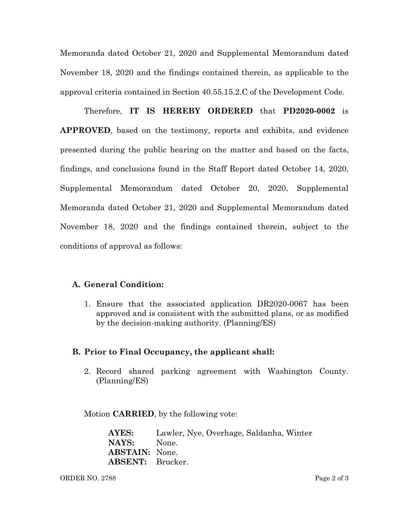Memoranda dated October 21, 2020 and Supplemental Memorandum dated November 18, 2020 and the findings contained therein, as applicable to the approval criteria contained in Section 40.55.15.2.C of the Development Code.

Therefore, **IT IS HEREBY ORDERED** that **PD2020-0002** is **APPROVED**, based on the testimony, reports and exhibits, and evidence presented during the public hearing on the matter and based on the facts, findings, and conclusions found in the Staff Report dated October 14, 2020, Supplemental Memorandum dated October 20, 2020, Supplemental Memoranda dated October 21, 2020 and Supplemental Memorandum dated November 18, 2020 and the findings contained therein, subject to the conditions of approval as follows:

### **A. General Condition:**

1. Ensure that the associated application DR2020-0067 has been approved and is consistent with the submitted plans, or as modified by the decision-making authority. (Planning/ES)

#### **B. Prior to Final Occupancy, the applicant shall:**

2. Record shared parking agreement with Washington County. (Planning/ES)

Motion **CARRIED**, by the following vote:

**AYES:** Lawler, Nye, Overhage, Saldanha, Winter **NAYS:** None. **ABSTAIN:** None. **ABSENT:** Brucker.

ORDER NO. 2788 Page 2 of 3